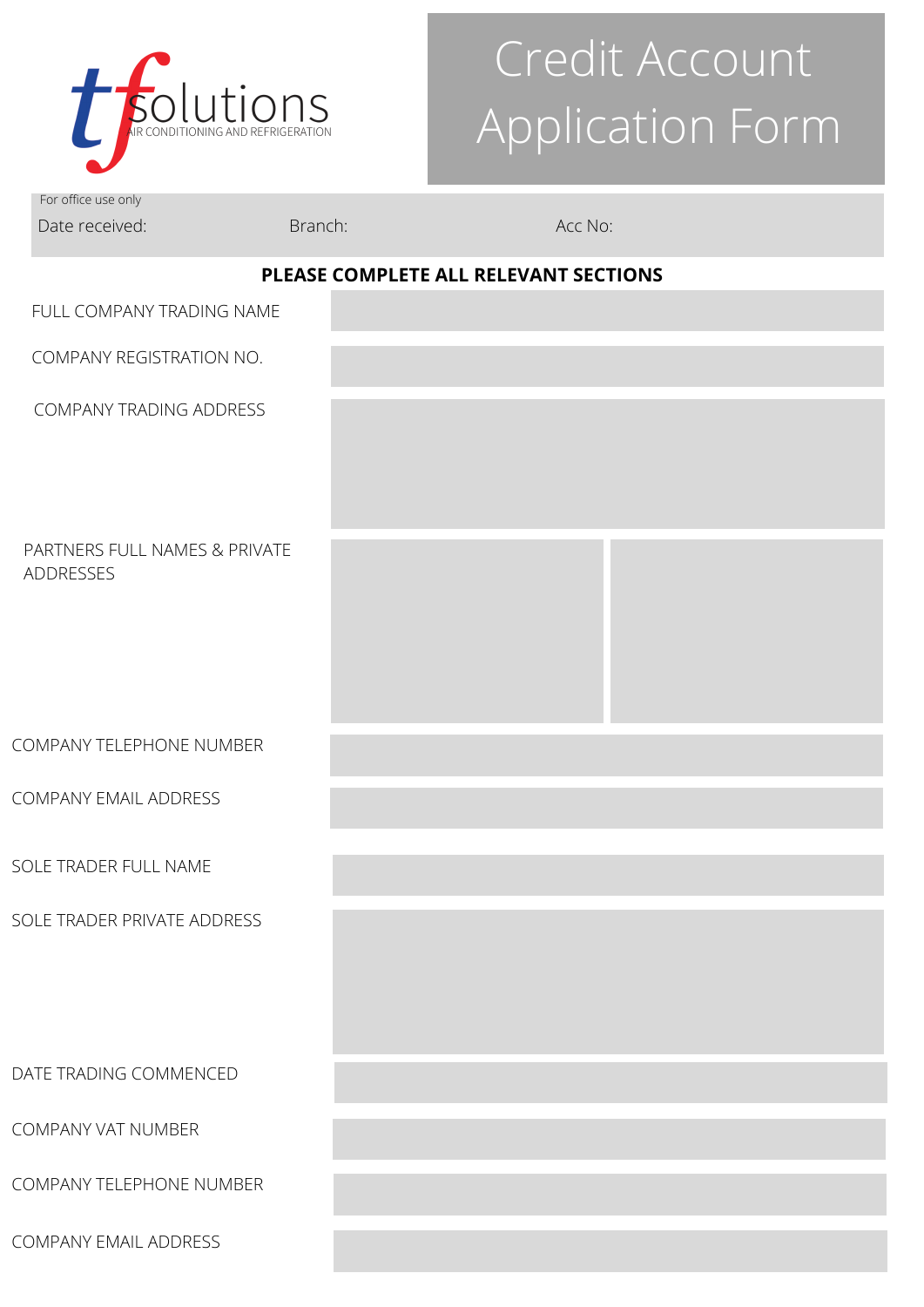

# Credit Account Application Form

For office use only Date received: Branch: Branch: Branch: Acc No:

## **PLEASE COMPLETE ALL RELEVANT SECTIONS**

| FULL COMPANY TRADING NAME                         |  |
|---------------------------------------------------|--|
| COMPANY REGISTRATION NO.                          |  |
| COMPANY TRADING ADDRESS                           |  |
| PARTNERS FULL NAMES & PRIVATE<br><b>ADDRESSES</b> |  |
| COMPANY TELEPHONE NUMBER                          |  |
| COMPANY EMAIL ADDRESS                             |  |
| SOLE TRADER FULL NAME                             |  |
| SOLE TRADER PRIVATE ADDRESS                       |  |
| DATE TRADING COMMENCED                            |  |
| <b>COMPANY VAT NUMBER</b>                         |  |
| <b>COMPANY TELEPHONE NUMBER</b>                   |  |
| COMPANY EMAIL ADDRESS                             |  |